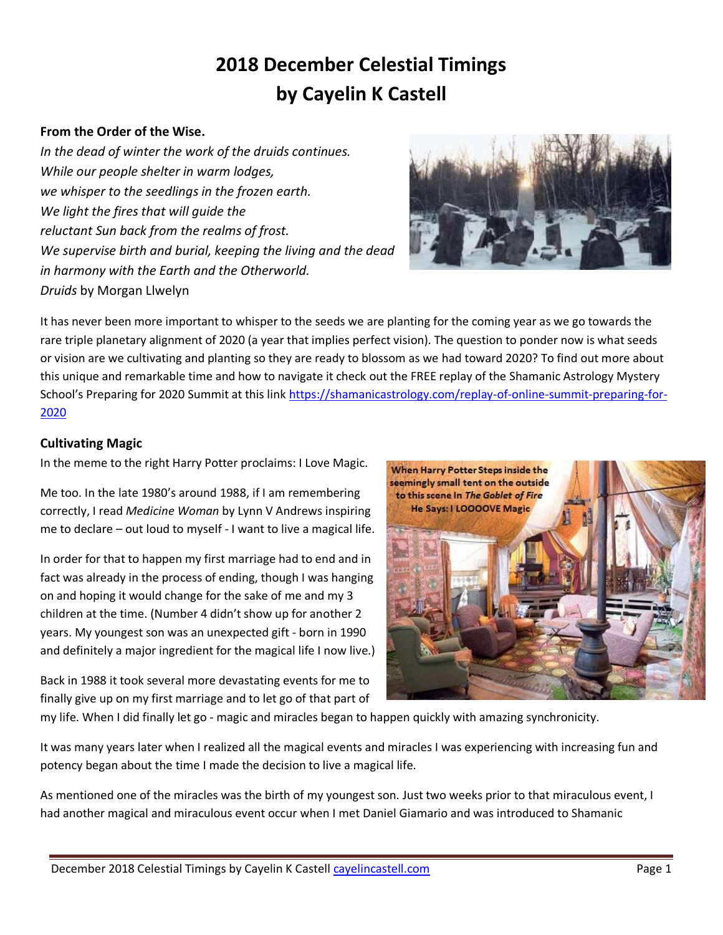# **2018 December Celestial Timings by Cayelin K Castell**

### **From the Order of the Wise.**

*In the dead of winter the work of the druids continues. While our people shelter in warm lodges, we whisper to the seedlings in the frozen earth. We light the fires that will guide the reluctant Sun back from the realms of frost. We supervise birth and burial, keeping the living and the dead in harmony with the Earth and the Otherworld. Druids* by Morgan Llwelyn



It has never been more important to whisper to the seeds we are planting for the coming year as we go towards the rare triple planetary alignment of 2020 (a year that implies perfect vision). The question to ponder now is what seeds or vision are we cultivating and planting so they are ready to blossom as we had toward 2020? To find out more about this unique and remarkable time and how to navigate it check out the FREE replay of the Shamanic Astrology Mystery School's Preparing for 2020 Summit at this link [https://shamanicastrology.com/replay-of-online-summit-preparing-for-](https://shamanicastrology.com/replay-of-online-summit-preparing-for-2020)[2020](https://shamanicastrology.com/replay-of-online-summit-preparing-for-2020)

#### **Cultivating Magic**

In the meme to the right Harry Potter proclaims: I Love Magic.

Me too. In the late 1980's around 1988, if I am remembering correctly, I read *Medicine Woman* by Lynn V Andrews inspiring me to declare – out loud to myself - I want to live a magical life.

In order for that to happen my first marriage had to end and in fact was already in the process of ending, though I was hanging on and hoping it would change for the sake of me and my 3 children at the time. (Number 4 didn't show up for another 2 years. My youngest son was an unexpected gift - born in 1990 and definitely a major ingredient for the magical life I now live.)

Back in 1988 it took several more devastating events for me to finally give up on my first marriage and to let go of that part of



my life. When I did finally let go - magic and miracles began to happen quickly with amazing synchronicity.

It was many years later when I realized all the magical events and miracles I was experiencing with increasing fun and potency began about the time I made the decision to live a magical life.

As mentioned one of the miracles was the birth of my youngest son. Just two weeks prior to that miraculous event, I had another magical and miraculous event occur when I met Daniel Giamario and was introduced to Shamanic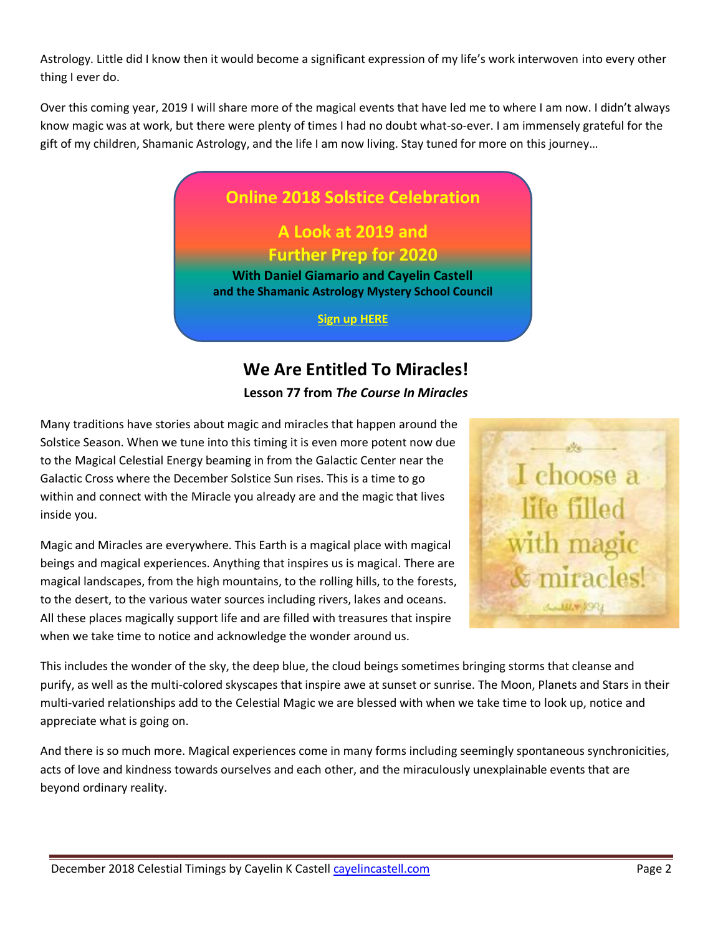Astrology. Little did I know then it would become a significant expression of my life's work interwoven into every other thing I ever do.

Over this coming year, 2019 I will share more of the magical events that have led me to where I am now. I didn't always know magic was at work, but there were plenty of times I had no doubt what-so-ever. I am immensely grateful for the gift of my children, Shamanic Astrology, and the life I am now living. Stay tuned for more on this journey…

# **Online 2018 Solstice Celebration A Look at 2019 and Further Prep for 2020 With Daniel Giamario and Cayelin Castell and the Shamanic Astrology Mystery School Council [Sign up HERE](https://shamanicastrology.com/2018-december-solstice-event)**

# **We Are Entitled To Miracles!**

### **Lesson 77 from** *The Course In Miracles*

Many traditions have stories about magic and miracles that happen around the Solstice Season. When we tune into this timing it is even more potent now due to the Magical Celestial Energy beaming in from the Galactic Center near the Galactic Cross where the December Solstice Sun rises. This is a time to go within and connect with the Miracle you already are and the magic that lives inside you.

Magic and Miracles are everywhere. This Earth is a magical place with magical beings and magical experiences. Anything that inspires us is magical. There are magical landscapes, from the high mountains, to the rolling hills, to the forests, to the desert, to the various water sources including rivers, lakes and oceans. All these places magically support life and are filled with treasures that inspire when we take time to notice and acknowledge the wonder around us.



This includes the wonder of the sky, the deep blue, the cloud beings sometimes bringing storms that cleanse and purify, as well as the multi-colored skyscapes that inspire awe at sunset or sunrise. The Moon, Planets and Stars in their multi-varied relationships add to the Celestial Magic we are blessed with when we take time to look up, notice and appreciate what is going on.

And there is so much more. Magical experiences come in many forms including seemingly spontaneous synchronicities, acts of love and kindness towards ourselves and each other, and the miraculously unexplainable events that are beyond ordinary reality.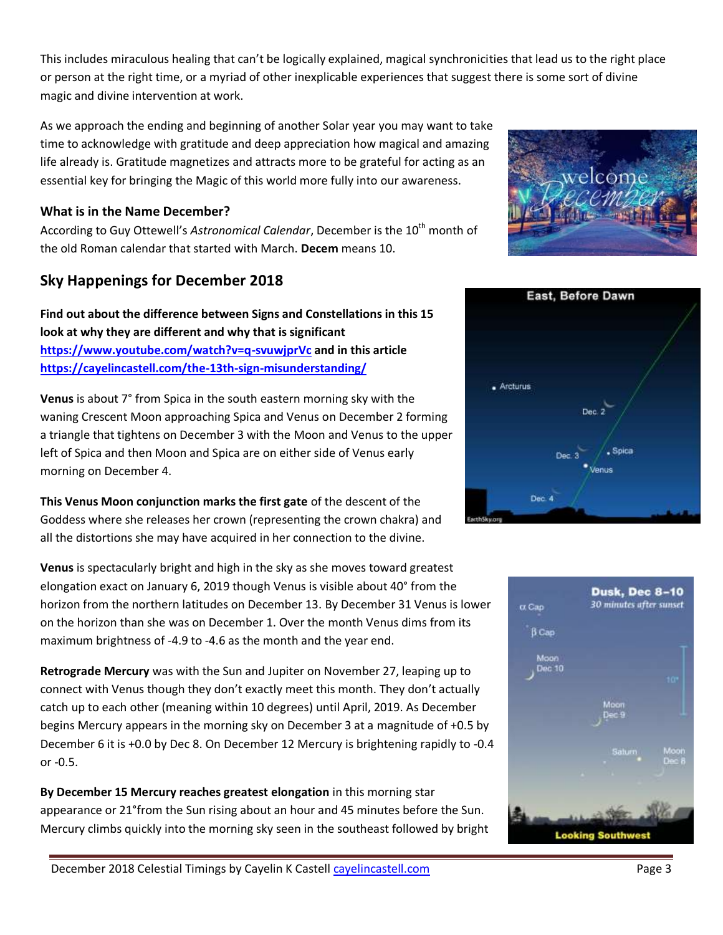This includes miraculous healing that can't be logically explained, magical synchronicities that lead us to the right place or person at the right time, or a myriad of other inexplicable experiences that suggest there is some sort of divine magic and divine intervention at work.

As we approach the ending and beginning of another Solar year you may want to take time to acknowledge with gratitude and deep appreciation how magical and amazing life already is. Gratitude magnetizes and attracts more to be grateful for acting as an essential key for bringing the Magic of this world more fully into our awareness.

### **What is in the Name December?**

According to Guy Ottewell's Astronomical Calendar, December is the 10<sup>th</sup> month of the old Roman calendar that started with March. **Decem** means 10.

# **Sky Happenings for December 2018**

**Find out about the difference between Signs and Constellations in this 15 look at why they are different and why that is significant <https://www.youtube.com/watch?v=q-svuwjprVc> and in this article <https://cayelincastell.com/the-13th-sign-misunderstanding/>**

**Venus** is about 7° from Spica in the south eastern morning sky with the waning Crescent Moon approaching Spica and Venus on December 2 forming a triangle that tightens on December 3 with the Moon and Venus to the upper left of Spica and then Moon and Spica are on either side of Venus early morning on December 4.

**This Venus Moon conjunction marks the first gate** of the descent of the Goddess where she releases her crown (representing the crown chakra) and all the distortions she may have acquired in her connection to the divine.

**Venus** is spectacularly bright and high in the sky as she moves toward greatest elongation exact on January 6, 2019 though Venus is visible about 40° from the horizon from the northern latitudes on December 13. By December 31 Venus is lower on the horizon than she was on December 1. Over the month Venus dims from its maximum brightness of -4.9 to -4.6 as the month and the year end.

**Retrograde Mercury** was with the Sun and Jupiter on November 27, leaping up to connect with Venus though they don't exactly meet this month. They don't actually catch up to each other (meaning within 10 degrees) until April, 2019. As December begins Mercury appears in the morning sky on December 3 at a magnitude of +0.5 by December 6 it is +0.0 by Dec 8. On December 12 Mercury is brightening rapidly to -0.4 or -0.5.

**By December 15 Mercury reaches greatest elongation** in this morning star appearance or 21°from the Sun rising about an hour and 45 minutes before the Sun. Mercury climbs quickly into the morning sky seen in the southeast followed by bright





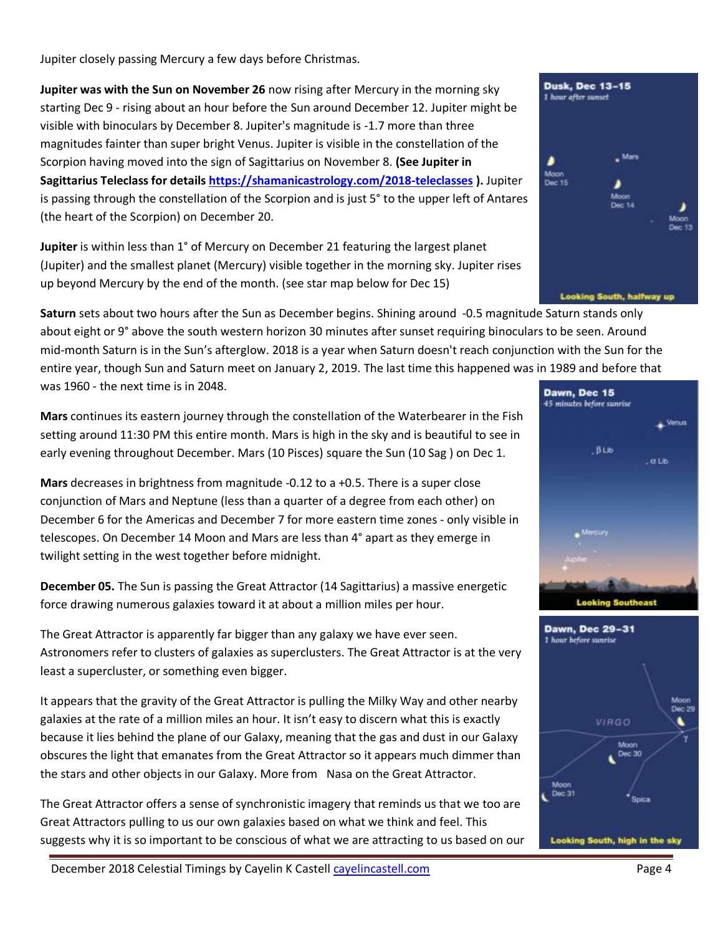Jupiter closely passing Mercury a few days before Christmas.

**Jupiter was with the Sun on November 26** now rising after Mercury in the morning sky starting Dec 9 - rising about an hour before the Sun around December 12. Jupiter might be visible with binoculars by December 8. Jupiter's magnitude is -1.7 more than three magnitudes fainter than super bright Venus. Jupiter is visible in the constellation of the Scorpion having moved into the sign of Sagittarius on November 8. **(See Jupiter in Sagittarius Teleclass for details <https://shamanicastrology.com/2018-teleclasses> ).** Jupiter is passing through the constellation of the Scorpion and is just 5° to the upper left of Antares (the heart of the Scorpion) on December 20.

**Jupiter** is within less than 1° of Mercury on December 21 featuring the largest planet (Jupiter) and the smallest planet (Mercury) visible together in the morning sky. Jupiter rises up beyond Mercury by the end of the month. (see star map below for Dec 15)

**Saturn** sets about two hours after the Sun as December begins. Shining around -0.5 magnitude Saturn stands only about eight or 9° above the south western horizon 30 minutes after sunset requiring binoculars to be seen. Around mid-month Saturn is in the Sun's afterglow. 2018 is a year when Saturn doesn't reach conjunction with the Sun for the entire year, though Sun and Saturn meet on January 2, 2019. The last time this happened was in 1989 and before that was 1960 - the next time is in 2048.

**Mars** continues its eastern journey through the constellation of the Waterbearer in the Fish setting around 11:30 PM this entire month. Mars is high in the sky and is beautiful to see in early evening throughout December. Mars (10 Pisces) square the Sun (10 Sag ) on Dec 1.

**Mars** decreases in brightness from magnitude -0.12 to a +0.5. There is a super close conjunction of Mars and Neptune (less than a quarter of a degree from each other) on December 6 for the Americas and December 7 for more eastern time zones - only visible in telescopes. On December 14 Moon and Mars are less than 4° apart as they emerge in twilight setting in the west together before midnight.

**December 05.** The Sun is passing the Great Attractor (14 Sagittarius) a massive energetic force drawing numerous galaxies toward it at about a million miles per hour.

The Great Attractor is apparently far bigger than any galaxy we have ever seen. Astronomers refer to clusters of galaxies as superclusters. The Great Attractor is at the very least a supercluster, or something even bigger.

It appears that the gravity of the Great Attractor is pulling the Milky Way and other nearby galaxies at the rate of a million miles an hour. It isn't easy to discern what this is exactly because it lies behind the plane of our Galaxy, meaning that the gas and dust in our Galaxy obscures the light that emanates from the Great Attractor so it appears much dimmer than the stars and other objects in our Galaxy. More from Nasa on the Great Attractor.

The Great Attractor offers a sense of synchronistic imagery that reminds us that we too are Great Attractors pulling to us our own galaxies based on what we think and feel. This suggests why it is so important to be conscious of what we are attracting to us based on our







December 2018 Celestial Timings by Cayelin K Castell **[cayelincastell.com](http://www.cayelincastell.com/)** Page 4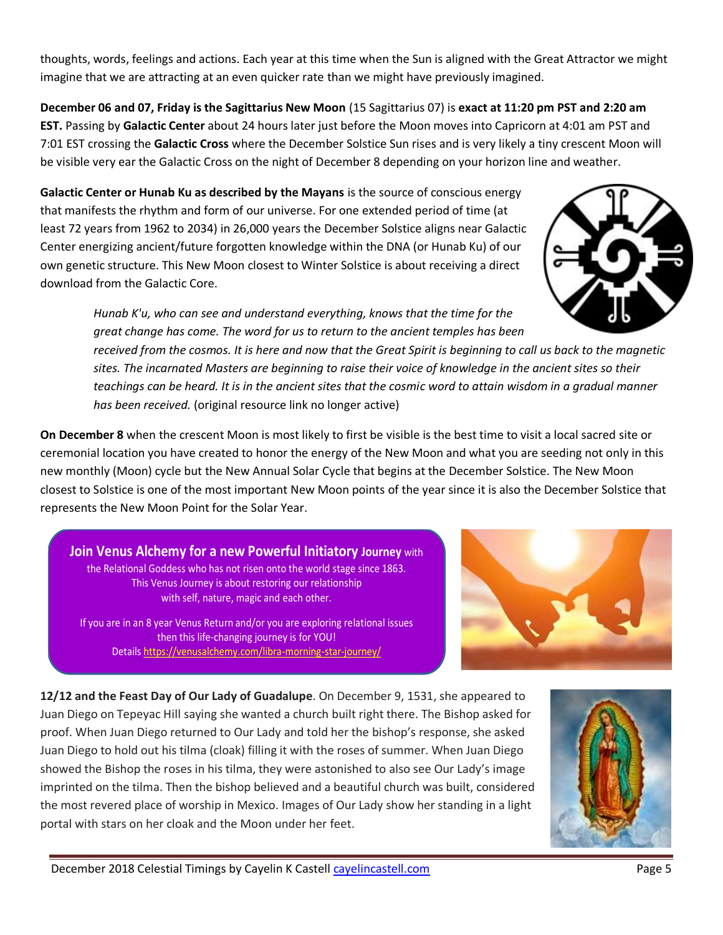thoughts, words, feelings and actions. Each year at this time when the Sun is aligned with the Great Attractor we might imagine that we are attracting at an even quicker rate than we might have previously imagined.

**December 06 and 07, Friday is the Sagittarius New Moon** (15 Sagittarius 07) is **exact at 11:20 pm PST and 2:20 am EST.** Passing by **Galactic Center** about 24 hours later just before the Moon moves into Capricorn at 4:01 am PST and 7:01 EST crossing the **Galactic Cross** where the December Solstice Sun rises and is very likely a tiny crescent Moon will be visible very ear the Galactic Cross on the night of December 8 depending on your horizon line and weather.

**Galactic Center or Hunab Ku as described by the Mayans** is the source of conscious energy that manifests the rhythm and form of our universe. For one extended period of time (at least 72 years from 1962 to 2034) in 26,000 years the December Solstice aligns near Galactic Center energizing ancient/future forgotten knowledge within the DNA (or Hunab Ku) of our own genetic structure. This New Moon closest to Winter Solstice is about receiving a direct download from the Galactic Core.

> *Hunab K'u, who can see and understand everything, knows that the time for the great change has come. The word for us to return to the ancient temples has been*

*received from the cosmos. It is here and now that the Great Spirit is beginning to call us back to the magnetic sites. The incarnated Masters are beginning to raise their voice of knowledge in the ancient sites so their teachings can be heard. It is in the ancient sites that the cosmic word to attain wisdom in a gradual manner has been received.* (original resource link no longer active)

**On December 8** when the crescent Moon is most likely to first be visible is the best time to visit a local sacred site or ceremonial location you have created to honor the energy of the New Moon and what you are seeding not only in this new monthly (Moon) cycle but the New Annual Solar Cycle that begins at the December Solstice. The New Moon closest to Solstice is one of the most important New Moon points of the year since it is also the December Solstice that represents the New Moon Point for the Solar Year.

**Join Venus Alchemy for a new Powerful Initiatory Journey** with the Relational Goddess who has not risen onto the world stage since 1863. This Venus Journey is about restoring our relationship with self, nature, magic and each other.

If you are in an 8 year Venus Return and/or you are exploring relational issues then this life-changing journey is for YOU! Details https://venusalchemy.com/libra-morning-star-journey/

**12/12 and the Feast Day of Our Lady of Guadalupe**. On December 9, 1531, she appeared to Juan Diego on Tepeyac Hill saying she wanted a church built right there. The Bishop asked for proof. When Juan Diego returned to Our Lady and told her the bishop's response, she asked Juan Diego to hold out his tilma (cloak) filling it with the roses of summer. When Juan Diego showed the Bishop the roses in his tilma, they were astonished to also see Our Lady's image imprinted on the tilma. Then the bishop believed and a beautiful church was built, considered the most revered place of worship in Mexico. Images of Our Lady show her standing in a light portal with stars on her cloak and the Moon under her feet.





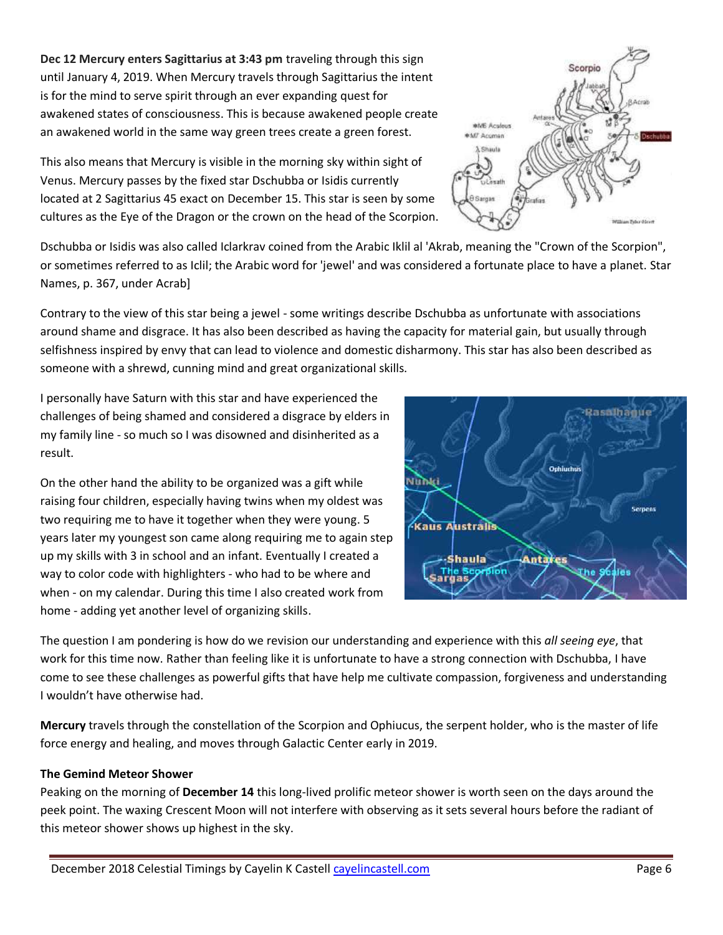**Dec 12 Mercury enters Sagittarius at 3:43 pm** traveling through this sign until January 4, 2019. When Mercury travels through Sagittarius the intent is for the mind to serve spirit through an ever expanding quest for awakened states of consciousness. This is because awakened people create an awakened world in the same way green trees create a green forest.

This also means that Mercury is visible in the morning sky within sight of Venus. Mercury passes by the fixed star Dschubba or Isidis currently located at 2 Sagittarius 45 exact on December 15. This star is seen by some cultures as the Eye of the Dragon or the crown on the head of the Scorpion.

Dschubba or Isidis was also called Iclarkrav coined from the Arabic Iklil al 'Akrab, meaning the "Crown of the Scorpion", or sometimes referred to as Iclil; the Arabic word for 'jewel' and was considered a fortunate place to have a planet. Star Names, p. 367, under Acrab]

Contrary to the view of this star being a jewel - some writings describe Dschubba as unfortunate with associations around shame and disgrace. It has also been described as having the capacity for material gain, but usually through selfishness inspired by envy that can lead to violence and domestic disharmony. This star has also been described as someone with a shrewd, cunning mind and great organizational skills.

I personally have Saturn with this star and have experienced the challenges of being shamed and considered a disgrace by elders in my family line - so much so I was disowned and disinherited as a result.

On the other hand the ability to be organized was a gift while raising four children, especially having twins when my oldest was two requiring me to have it together when they were young. 5 years later my youngest son came along requiring me to again step up my skills with 3 in school and an infant. Eventually I created a way to color code with highlighters - who had to be where and when - on my calendar. During this time I also created work from home - adding yet another level of organizing skills.



The question I am pondering is how do we revision our understanding and experience with this *all seeing eye*, that work for this time now. Rather than feeling like it is unfortunate to have a strong connection with Dschubba, I have come to see these challenges as powerful gifts that have help me cultivate compassion, forgiveness and understanding I wouldn't have otherwise had.

**Mercury** travels through the constellation of the Scorpion and Ophiucus, the serpent holder, who is the master of life force energy and healing, and moves through Galactic Center early in 2019.

#### **The Gemind Meteor Shower**

Peaking on the morning of **December 14** this long-lived prolific meteor shower is worth seen on the days around the peek point. The waxing Crescent Moon will not interfere with observing as it sets several hours before the radiant of this meteor shower shows up highest in the sky.

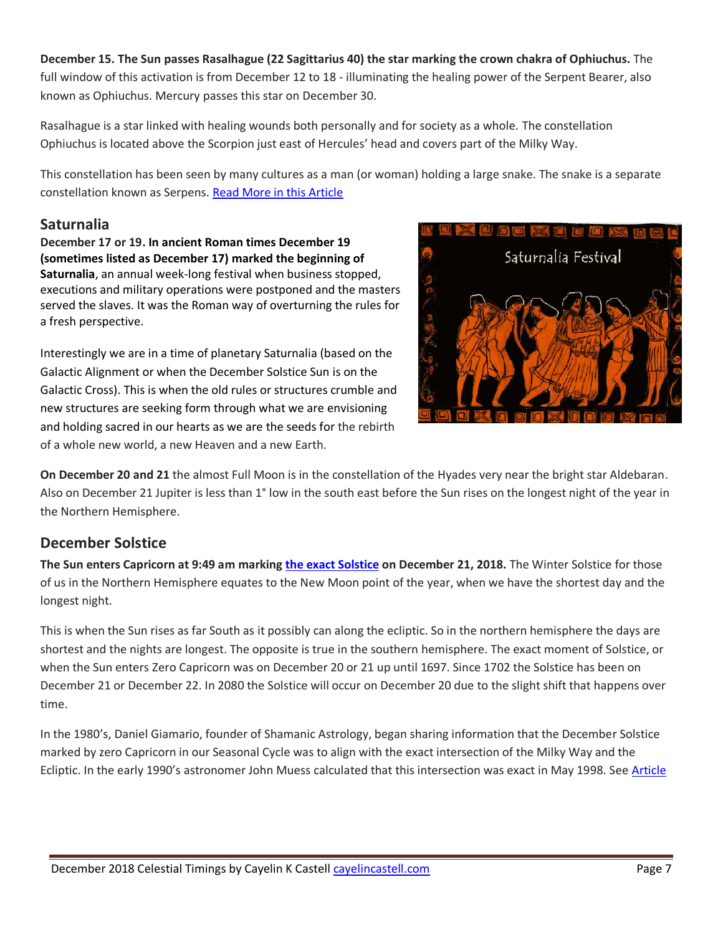**December 15. The Sun passes Rasalhague (22 Sagittarius 40) the star marking the crown chakra of Ophiuchus.** The full window of this activation is from December 12 to 18 - illuminating the healing power of the Serpent Bearer, also known as Ophiuchus. Mercury passes this star on December 30.

Rasalhague is a star linked with healing wounds both personally and for society as a whole. The constellation Ophiuchus is located above the Scorpion just east of Hercules' head and covers part of the Milky Way.

This constellation has been seen by many cultures as a man (or woman) holding a large snake. The snake is a separate constellation known as Serpens. [Read More in this Article](http://cayelincastell.com/the-serpent-bearer/)

## **Saturnalia**

**December 17 or 19. In ancient Roman times December 19 (sometimes listed as December 17) marked the beginning of Saturnalia**, an annual week-long festival when business stopped, executions and military operations were postponed and the masters served the slaves. It was the Roman way of overturning the rules for a fresh perspective.

Interestingly we are in a time of planetary Saturnalia (based on the Galactic Alignment or when the December Solstice Sun is on the Galactic Cross). This is when the old rules or structures crumble and new structures are seeking form through what we are envisioning and holding sacred in our hearts as we are the seeds for the rebirth of a whole new world, a new Heaven and a new Earth.

**On December 20 and 21** the almost Full Moon is in the constellation of the Hyades very near the bright star Aldebaran. Also on December 21 Jupiter is less than 1° low in the south east before the Sun rises on the longest night of the year in the Northern Hemisphere.

## **December Solstice**

**The Sun enters Capricorn at 9:49 am marking [the exact Solstice](http://cayelincastell.com/celebrating-the-solstices/) on December 21, 2018.** The Winter Solstice for those of us in the Northern Hemisphere equates to the New Moon point of the year, when we have the shortest day and the longest night.

This is when the Sun rises as far South as it possibly can along the ecliptic. So in the northern hemisphere the days are shortest and the nights are longest. The opposite is true in the southern hemisphere. The exact moment of Solstice, or when the Sun enters Zero Capricorn was on December 20 or 21 up until 1697. Since 1702 the Solstice has been on December 21 or December 22. In 2080 the Solstice will occur on December 20 due to the slight shift that happens over time.

In the 1980's, Daniel Giamario, founder of Shamanic Astrology, began sharing information that the December Solstice marked by zero Capricorn in our Seasonal Cycle was to align with the exact intersection of the Milky Way and the Ecliptic. In the early 1990's astronomer John Muess calculated that this intersection was exact in May 1998. See [Article](http://shamanicastrology.com/archives/85)

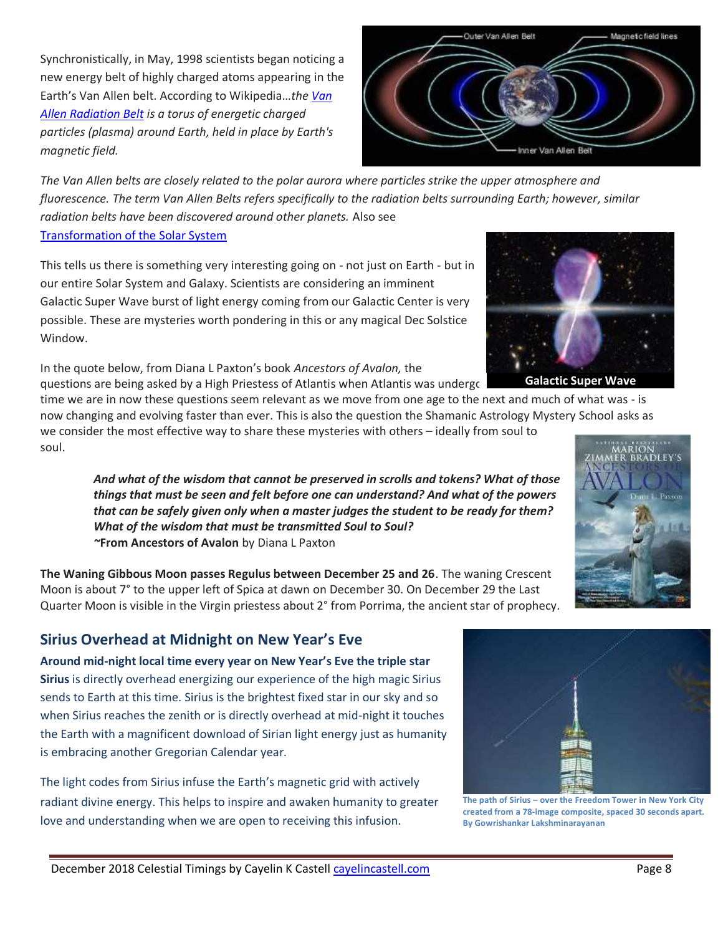December 2018 Celestial Timings by Cayelin K Castell [cayelincastell.com](http://www.cayelincastell.com/) **Page 8** Page 8

Synchronistically, in May, 1998 scientists began noticing a new energy belt of highly charged atoms appearing in the Earth's Van Allen belt. According to Wikipedia…*th[e Van](http://en.wikipedia.org/wiki/Image:Van_Allen_radiation_belt.svg%20http:/www.agu.org/sci_soc/articles/eisbaker.html)  [Allen Radiation Belt](http://en.wikipedia.org/wiki/Image:Van_Allen_radiation_belt.svg%20http:/www.agu.org/sci_soc/articles/eisbaker.html) is a torus of energetic charged particles (plasma) around Earth, held in place by Earth's magnetic field.* 

*The Van Allen belts are closely related to the polar aurora where particles strike the upper atmosphere and fluorescence. The term Van Allen Belts refers specifically to the radiation belts surrounding Earth; however, similar radiation belts have been discovered around other planets.* Also see [Transformation of the Solar System](http://www.tmgnow.com/repository/global/planetophysical1.html)

This tells us there is something very interesting going on - not just on Earth - but in our entire Solar System and Galaxy. Scientists are considering an imminent Galactic Super Wave burst of light energy coming from our Galactic Center is very possible. These are mysteries worth pondering in this or any magical Dec Solstice Window.

In the quote below, from Diana L Paxton's book *Ancestors of Avalon,* the questions are being asked by a High Priestess of Atlantis when Atlantis was undergoing

time we are in now these questions seem relevant as we move from one age to the next and much of what was - is now changing and evolving faster than ever. This is also the question the Shamanic Astrology Mystery School asks as

we consider the most effective way to share these mysteries with others – ideally from soul to soul.

> *And what of the wisdom that cannot be preserved in scrolls and tokens? What of those things that must be seen and felt before one can understand? And what of the powers that can be safely given only when a master judges the student to be ready for them? What of the wisdom that must be transmitted Soul to Soul? ~***From Ancestors of Avalon** by Diana L Paxton

**The Waning Gibbous Moon passes Regulus between December 25 and 26**. The waning Crescent Moon is about 7° to the upper left of Spica at dawn on December 30. On December 29 the Last Quarter Moon is visible in the Virgin priestess about 2° from Porrima, the ancient star of prophecy.

## **Sirius Overhead at Midnight on New Year's Eve**

**Around mid-night local time every year on New Year's Eve the triple star Sirius** is directly overhead energizing our experience of the high magic Sirius sends to Earth at this time. Sirius is the brightest fixed star in our sky and so when Sirius reaches the zenith or is directly overhead at mid-night it touches the Earth with a magnificent download of Sirian light energy just as humanity is embracing another Gregorian Calendar year.

The light codes from Sirius infuse the Earth's magnetic grid with actively radiant divine energy. This helps to inspire and awaken humanity to greater love and understanding when we are open to receiving this infusion.



**Galactic Super Wave**





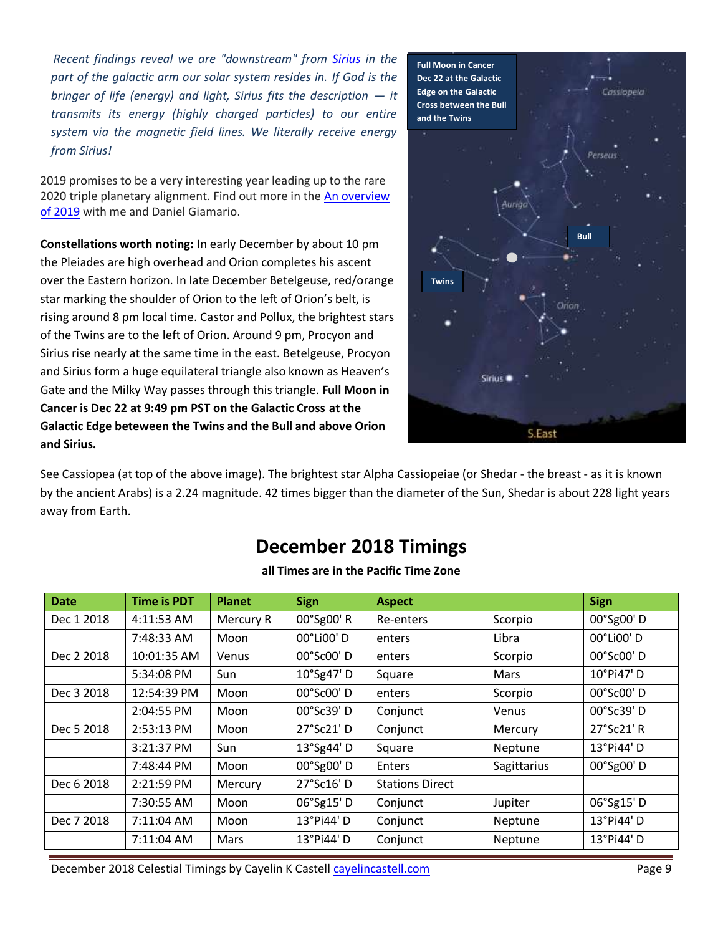*Recent findings reveal we are "downstream" from [Sirius](http://www.souledout.org/cosmology/cossynthreflects/sirius.html) in the part of the galactic arm our solar system resides in. If God is the bringer of life (energy) and light, Sirius fits the description — it transmits its energy (highly charged particles) to our entire system via the magnetic field lines. We literally receive energy from Sirius!* 

2019 promises to be a very interesting year leading up to the rare 2020 triple planetary alignment. Find out more in the An overview [of 2019](https://shamanicastrology.com/2018-december-solstice-event) with me and Daniel Giamario.

**Constellations worth noting:** In early December by about 10 pm the Pleiades are high overhead and Orion completes his ascent over the Eastern horizon. In late December Betelgeuse, red/orange star marking the shoulder of Orion to the left of Orion's belt, is rising around 8 pm local time. Castor and Pollux, the brightest stars of the Twins are to the left of Orion. Around 9 pm, Procyon and Sirius rise nearly at the same time in the east. Betelgeuse, Procyon and Sirius form a huge equilateral triangle also known as Heaven's Gate and the Milky Way passes through this triangle. **Full Moon in Cancer is Dec 22 at 9:49 pm PST on the Galactic Cross at the Galactic Edge beteween the Twins and the Bull and above Orion and Sirius.**



See Cassiopea (at top of the above image). The brightest star Alpha Cassiopeiae (or Shedar - the breast - as it is known by the ancient Arabs) is a 2.24 magnitude. 42 times bigger than the diameter of the Sun, Shedar is about 228 light years away from Earth.

# **December 2018 Timings**

**all Times are in the Pacific Time Zone**

| <b>Date</b> | Time is PDT  | <b>Planet</b> | <b>Sign</b>                    | <b>Aspect</b>          |             | <b>Sign</b>                    |
|-------------|--------------|---------------|--------------------------------|------------------------|-------------|--------------------------------|
| Dec 1 2018  | $4:11:53$ AM | Mercury R     | 00°Sg00' R                     | Re-enters              | Scorpio     | 00°Sg00'D                      |
|             | 7:48:33 AM   | Moon          | 00°Li00'D                      | enters                 | Libra       | 00°Li00'D                      |
| Dec 2 2018  | 10:01:35 AM  | Venus         | $00^{\circ}$ Sc $00^{\circ}$ D | enters                 | Scorpio     | $00^{\circ}$ Sc $00^{\circ}$ D |
|             | 5:34:08 PM   | Sun           | 10°Sg47' D                     | Square                 | <b>Mars</b> | 10°Pi47' D                     |
| Dec 3 2018  | 12:54:39 PM  | Moon          | $00^{\circ}$ Sc $00^{\circ}$ D | enters                 | Scorpio     | $00^{\circ}$ Sc $00^{\circ}$ D |
|             | 2:04:55 PM   | Moon          | 00°Sc39'D                      | Conjunct               | Venus       | 00°Sc39'D                      |
| Dec 5 2018  | 2:53:13 PM   | Moon          | $27^{\circ}$ Sc $21'$ D        | Conjunct               | Mercury     | 27°Sc21' R                     |
|             | 3:21:37 PM   | Sun           | 13°Sg44'D                      | Square                 | Neptune     | 13°Pi44' D                     |
|             | 7:48:44 PM   | Moon          | 00°Sg00'D                      | Enters                 | Sagittarius | 00°Sg00'D                      |
| Dec 6 2018  | 2:21:59 PM   | Mercury       | $27^{\circ}$ Sc16' D           | <b>Stations Direct</b> |             |                                |
|             | 7:30:55 AM   | Moon          | 06°Sg15'D                      | Conjunct               | Jupiter     | 06°Sg15'D                      |
| Dec 7 2018  | $7:11:04$ AM | Moon          | $13^{\circ}$ Pi44' D           | Conjunct               | Neptune     | 13°Pi44'D                      |
|             | $7:11:04$ AM | Mars          | $13^{\circ}$ Pi44' D           | Conjunct               | Neptune     | 13°Pi44'D                      |